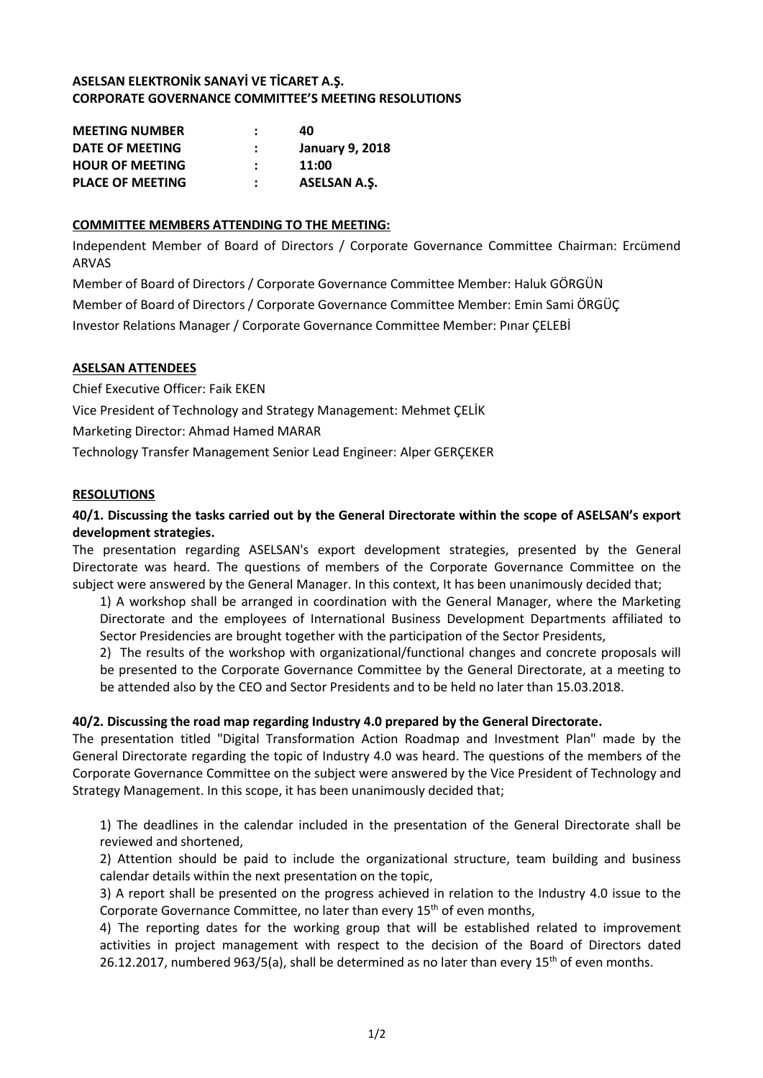# **ASELSAN ELEKTRONİK SANAYİ VE TİCARET A.Ş. CORPORATE GOVERNANCE COMMITTEE'S MEETING RESOLUTIONS**

| <b>MEETING NUMBER</b>   | 40                     |
|-------------------------|------------------------|
| DATE OF MEETING         | <b>January 9, 2018</b> |
| <b>HOUR OF MEETING</b>  | 11:00                  |
| <b>PLACE OF MEETING</b> | <b>ASELSAN A.S.</b>    |

# **COMMITTEE MEMBERS ATTENDING TO THE MEETING:**

Independent Member of Board of Directors / Corporate Governance Committee Chairman: Ercümend ARVAS

Member of Board of Directors / Corporate Governance Committee Member: Haluk GÖRGÜN Member of Board of Directors / Corporate Governance Committee Member: Emin Sami ÖRGÜÇ Investor Relations Manager / Corporate Governance Committee Member: Pınar ÇELEBİ

### **ASELSAN ATTENDEES**

Chief Executive Officer: Faik EKEN Vice President of Technology and Strategy Management: Mehmet ÇELİK Marketing Director: Ahmad Hamed MARAR Technology Transfer Management Senior Lead Engineer: Alper GERÇEKER

### **RESOLUTIONS**

# **40/1. Discussing the tasks carried out by the General Directorate within the scope of ASELSAN's export development strategies.**

The presentation regarding ASELSAN's export development strategies, presented by the General Directorate was heard. The questions of members of the Corporate Governance Committee on the subject were answered by the General Manager. In this context, It has been unanimously decided that;

1) A workshop shall be arranged in coordination with the General Manager, where the Marketing Directorate and the employees of International Business Development Departments affiliated to Sector Presidencies are brought together with the participation of the Sector Presidents,

2) The results of the workshop with organizational/functional changes and concrete proposals will be presented to the Corporate Governance Committee by the General Directorate, at a meeting to be attended also by the CEO and Sector Presidents and to be held no later than 15.03.2018.

### **40/2. Discussing the road map regarding Industry 4.0 prepared by the General Directorate.**

The presentation titled "Digital Transformation Action Roadmap and Investment Plan" made by the General Directorate regarding the topic of Industry 4.0 was heard. The questions of the members of the Corporate Governance Committee on the subject were answered by the Vice President of Technology and Strategy Management. In this scope, it has been unanimously decided that;

1) The deadlines in the calendar included in the presentation of the General Directorate shall be reviewed and shortened,

2) Attention should be paid to include the organizational structure, team building and business calendar details within the next presentation on the topic,

3) A report shall be presented on the progress achieved in relation to the Industry 4.0 issue to the Corporate Governance Committee, no later than every 15<sup>th</sup> of even months,

4) The reporting dates for the working group that will be established related to improvement activities in project management with respect to the decision of the Board of Directors dated 26.12.2017, numbered 963/5(a), shall be determined as no later than every 15<sup>th</sup> of even months.